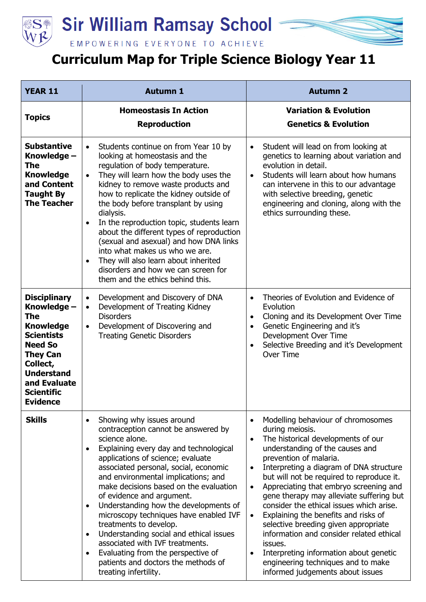

## Sir William Ramsay School



## **Curriculum Map for Triple Science Biology Year 11**

| <b>YEAR 11</b>                                                                                                                                                                                                   | <b>Autumn 1</b>                                                                                                                                                                                                                                                                                                                                                                                                                                                                                                                                                                                                                                                  | <b>Autumn 2</b>                                                                                                                                                                                                                                                                                                                                                                                                                                                                                                                                                                                                                                                                                                             |
|------------------------------------------------------------------------------------------------------------------------------------------------------------------------------------------------------------------|------------------------------------------------------------------------------------------------------------------------------------------------------------------------------------------------------------------------------------------------------------------------------------------------------------------------------------------------------------------------------------------------------------------------------------------------------------------------------------------------------------------------------------------------------------------------------------------------------------------------------------------------------------------|-----------------------------------------------------------------------------------------------------------------------------------------------------------------------------------------------------------------------------------------------------------------------------------------------------------------------------------------------------------------------------------------------------------------------------------------------------------------------------------------------------------------------------------------------------------------------------------------------------------------------------------------------------------------------------------------------------------------------------|
| <b>Topics</b>                                                                                                                                                                                                    | <b>Homeostasis In Action</b><br><b>Reproduction</b>                                                                                                                                                                                                                                                                                                                                                                                                                                                                                                                                                                                                              | <b>Variation &amp; Evolution</b><br><b>Genetics &amp; Evolution</b>                                                                                                                                                                                                                                                                                                                                                                                                                                                                                                                                                                                                                                                         |
| <b>Substantive</b><br>Knowledge -<br><b>The</b><br><b>Knowledge</b><br>and Content<br><b>Taught By</b><br><b>The Teacher</b>                                                                                     | Students continue on from Year 10 by<br>$\bullet$<br>looking at homeostasis and the<br>regulation of body temperature.<br>They will learn how the body uses the<br>$\bullet$<br>kidney to remove waste products and<br>how to replicate the kidney outside of<br>the body before transplant by using<br>dialysis.<br>In the reproduction topic, students learn<br>$\bullet$<br>about the different types of reproduction<br>(sexual and asexual) and how DNA links<br>into what makes us who we are.<br>They will also learn about inherited<br>$\bullet$<br>disorders and how we can screen for<br>them and the ethics behind this.                             | Student will lead on from looking at<br>$\bullet$<br>genetics to learning about variation and<br>evolution in detail.<br>Students will learn about how humans<br>$\bullet$<br>can intervene in this to our advantage<br>with selective breeding, genetic<br>engineering and cloning, along with the<br>ethics surrounding these.                                                                                                                                                                                                                                                                                                                                                                                            |
| <b>Disciplinary</b><br>Knowledge -<br>The<br><b>Knowledge</b><br><b>Scientists</b><br><b>Need So</b><br><b>They Can</b><br>Collect,<br><b>Understand</b><br>and Evaluate<br><b>Scientific</b><br><b>Evidence</b> | Development and Discovery of DNA<br>$\bullet$<br>Development of Treating Kidney<br>$\bullet$<br><b>Disorders</b><br>Development of Discovering and<br>$\bullet$<br><b>Treating Genetic Disorders</b>                                                                                                                                                                                                                                                                                                                                                                                                                                                             | Theories of Evolution and Evidence of<br>$\bullet$<br>Evolution<br>Cloning and its Development Over Time<br>$\bullet$<br>Genetic Engineering and it's<br>$\bullet$<br>Development Over Time<br>Selective Breeding and it's Development<br>$\bullet$<br>Over Time                                                                                                                                                                                                                                                                                                                                                                                                                                                            |
| <b>Skills</b>                                                                                                                                                                                                    | Showing why issues around<br>$\bullet$<br>contraception cannot be answered by<br>science alone.<br>Explaining every day and technological<br>applications of science; evaluate<br>associated personal, social, economic<br>and environmental implications; and<br>make decisions based on the evaluation<br>of evidence and argument.<br>Understanding how the developments of<br>$\bullet$<br>microscopy techniques have enabled IVF<br>treatments to develop.<br>Understanding social and ethical issues<br>associated with IVF treatments.<br>Evaluating from the perspective of<br>$\bullet$<br>patients and doctors the methods of<br>treating infertility. | Modelling behaviour of chromosomes<br>$\bullet$<br>during meiosis.<br>The historical developments of our<br>$\bullet$<br>understanding of the causes and<br>prevention of malaria.<br>Interpreting a diagram of DNA structure<br>$\bullet$<br>but will not be required to reproduce it.<br>Appreciating that embryo screening and<br>$\bullet$<br>gene therapy may alleviate suffering but<br>consider the ethical issues which arise.<br>Explaining the benefits and risks of<br>$\bullet$<br>selective breeding given appropriate<br>information and consider related ethical<br>issues.<br>Interpreting information about genetic<br>$\bullet$<br>engineering techniques and to make<br>informed judgements about issues |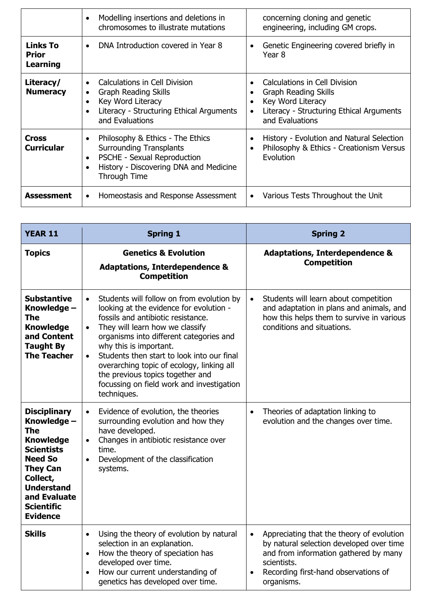|                                             | Modelling insertions and deletions in<br>chromosomes to illustrate mutations                                                                                | concerning cloning and genetic<br>engineering, including GM crops.                                                                                                         |
|---------------------------------------------|-------------------------------------------------------------------------------------------------------------------------------------------------------------|----------------------------------------------------------------------------------------------------------------------------------------------------------------------------|
| <b>Links To</b><br>Prior<br><b>Learning</b> | DNA Introduction covered in Year 8                                                                                                                          | Genetic Engineering covered briefly in<br>Year <sub>8</sub>                                                                                                                |
| Literacy/<br><b>Numeracy</b>                | Calculations in Cell Division<br><b>Graph Reading Skills</b><br>Key Word Literacy<br>Literacy - Structuring Ethical Arguments<br>and Evaluations            | Calculations in Cell Division<br><b>Graph Reading Skills</b><br>Key Word Literacy<br>$\bullet$<br>Literacy - Structuring Ethical Arguments<br>$\bullet$<br>and Evaluations |
| Cross<br><b>Curricular</b>                  | Philosophy & Ethics - The Ethics<br><b>Surrounding Transplants</b><br>PSCHE - Sexual Reproduction<br>History - Discovering DNA and Medicine<br>Through Time | History - Evolution and Natural Selection<br>Philosophy & Ethics - Creationism Versus<br>Evolution                                                                         |
| <b>Assessment</b>                           | Homeostasis and Response Assessment                                                                                                                         | Various Tests Throughout the Unit                                                                                                                                          |

| <b>YEAR 11</b>                                                                                                                                                                                                          | <b>Spring 1</b>                                                                                                                                                                                                                                                                                                                                                                                                                                                      | <b>Spring 2</b>                                                                                                                                                                                                               |
|-------------------------------------------------------------------------------------------------------------------------------------------------------------------------------------------------------------------------|----------------------------------------------------------------------------------------------------------------------------------------------------------------------------------------------------------------------------------------------------------------------------------------------------------------------------------------------------------------------------------------------------------------------------------------------------------------------|-------------------------------------------------------------------------------------------------------------------------------------------------------------------------------------------------------------------------------|
| <b>Topics</b>                                                                                                                                                                                                           | <b>Genetics &amp; Evolution</b><br><b>Adaptations, Interdependence &amp;</b><br><b>Competition</b>                                                                                                                                                                                                                                                                                                                                                                   | <b>Adaptations, Interdependence &amp;</b><br><b>Competition</b>                                                                                                                                                               |
| <b>Substantive</b><br>Knowledge -<br>The<br><b>Knowledge</b><br>and Content<br><b>Taught By</b><br><b>The Teacher</b>                                                                                                   | Students will follow on from evolution by<br>$\bullet$<br>looking at the evidence for evolution -<br>fossils and antibiotic resistance.<br>They will learn how we classify<br>$\bullet$<br>organisms into different categories and<br>why this is important.<br>Students then start to look into our final<br>$\bullet$<br>overarching topic of ecology, linking all<br>the previous topics together and<br>focussing on field work and investigation<br>techniques. | Students will learn about competition<br>$\bullet$<br>and adaptation in plans and animals, and<br>how this helps them to survive in various<br>conditions and situations.                                                     |
| <b>Disciplinary</b><br>Knowledge -<br><b>The</b><br><b>Knowledge</b><br><b>Scientists</b><br><b>Need So</b><br><b>They Can</b><br>Collect,<br><b>Understand</b><br>and Evaluate<br><b>Scientific</b><br><b>Evidence</b> | Evidence of evolution, the theories<br>$\bullet$<br>surrounding evolution and how they<br>have developed.<br>Changes in antibiotic resistance over<br>$\bullet$<br>time.<br>Development of the classification<br>$\bullet$<br>systems.                                                                                                                                                                                                                               | Theories of adaptation linking to<br>$\bullet$<br>evolution and the changes over time.                                                                                                                                        |
| <b>Skills</b>                                                                                                                                                                                                           | Using the theory of evolution by natural<br>$\bullet$<br>selection in an explanation.<br>How the theory of speciation has<br>$\bullet$<br>developed over time.<br>How our current understanding of<br>genetics has developed over time.                                                                                                                                                                                                                              | Appreciating that the theory of evolution<br>$\bullet$<br>by natural selection developed over time<br>and from information gathered by many<br>scientists.<br>Recording first-hand observations of<br>$\bullet$<br>organisms. |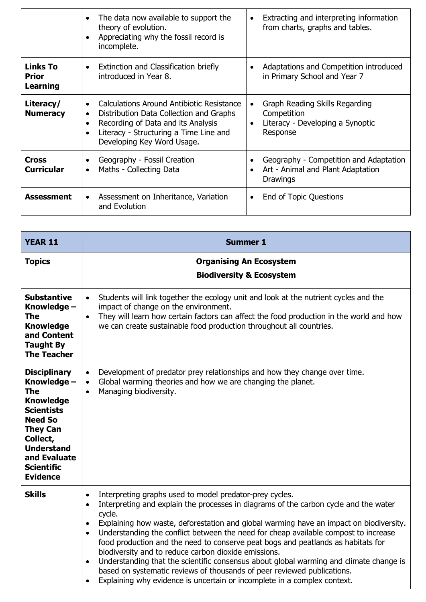|                                                    | The data now available to support the<br>theory of evolution.<br>Appreciating why the fossil record is<br>incomplete.                                                                                           | Extracting and interpreting information<br>$\bullet$<br>from charts, graphs and tables.                                 |
|----------------------------------------------------|-----------------------------------------------------------------------------------------------------------------------------------------------------------------------------------------------------------------|-------------------------------------------------------------------------------------------------------------------------|
| <b>Links To</b><br><b>Prior</b><br><b>Learning</b> | Extinction and Classification briefly<br>$\bullet$<br>introduced in Year 8.                                                                                                                                     | Adaptations and Competition introduced<br>$\bullet$<br>in Primary School and Year 7                                     |
| Literacy/<br><b>Numeracy</b>                       | Calculations Around Antibiotic Resistance<br>$\bullet$<br>Distribution Data Collection and Graphs<br>Recording of Data and its Analysis<br>Literacy - Structuring a Time Line and<br>Developing Key Word Usage. | Graph Reading Skills Regarding<br>$\bullet$<br>Competition<br>Literacy - Developing a Synoptic<br>$\bullet$<br>Response |
| <b>Cross</b><br><b>Curricular</b>                  | Geography - Fossil Creation<br>Maths - Collecting Data<br>$\bullet$                                                                                                                                             | Geography - Competition and Adaptation<br>Art - Animal and Plant Adaptation<br>$\bullet$<br><b>Drawings</b>             |
| <b>Assessment</b>                                  | Assessment on Inheritance, Variation<br>$\bullet$<br>and Evolution                                                                                                                                              | End of Topic Questions<br>$\bullet$                                                                                     |

| <b>YEAR 11</b>                                                                                                                                                                                                   | <b>Summer 1</b>                                                                                                                                                                                                                                                                                                                                                                                                                                                                                                                                                                                                                                                                                                                                                                |  |
|------------------------------------------------------------------------------------------------------------------------------------------------------------------------------------------------------------------|--------------------------------------------------------------------------------------------------------------------------------------------------------------------------------------------------------------------------------------------------------------------------------------------------------------------------------------------------------------------------------------------------------------------------------------------------------------------------------------------------------------------------------------------------------------------------------------------------------------------------------------------------------------------------------------------------------------------------------------------------------------------------------|--|
| <b>Topics</b>                                                                                                                                                                                                    | <b>Organising An Ecosystem</b><br><b>Biodiversity &amp; Ecosystem</b>                                                                                                                                                                                                                                                                                                                                                                                                                                                                                                                                                                                                                                                                                                          |  |
| <b>Substantive</b><br>Knowledge -<br>The<br><b>Knowledge</b><br>and Content<br><b>Taught By</b><br><b>The Teacher</b>                                                                                            | Students will link together the ecology unit and look at the nutrient cycles and the<br>$\bullet$<br>impact of change on the environment.<br>They will learn how certain factors can affect the food production in the world and how<br>$\bullet$<br>we can create sustainable food production throughout all countries.                                                                                                                                                                                                                                                                                                                                                                                                                                                       |  |
| <b>Disciplinary</b><br>Knowledge -<br>The<br><b>Knowledge</b><br><b>Scientists</b><br><b>Need So</b><br><b>They Can</b><br>Collect,<br><b>Understand</b><br>and Evaluate<br><b>Scientific</b><br><b>Evidence</b> | Development of predator prey relationships and how they change over time.<br>$\bullet$<br>Global warming theories and how we are changing the planet.<br>$\bullet$<br>Managing biodiversity.<br>$\bullet$                                                                                                                                                                                                                                                                                                                                                                                                                                                                                                                                                                      |  |
| <b>Skills</b>                                                                                                                                                                                                    | Interpreting graphs used to model predator-prey cycles.<br>$\bullet$<br>Interpreting and explain the processes in diagrams of the carbon cycle and the water<br>$\bullet$<br>cycle.<br>Explaining how waste, deforestation and global warming have an impact on biodiversity.<br>Understanding the conflict between the need for cheap available compost to increase<br>$\bullet$<br>food production and the need to conserve peat bogs and peatlands as habitats for<br>biodiversity and to reduce carbon dioxide emissions.<br>Understanding that the scientific consensus about global warming and climate change is<br>based on systematic reviews of thousands of peer reviewed publications.<br>Explaining why evidence is uncertain or incomplete in a complex context. |  |